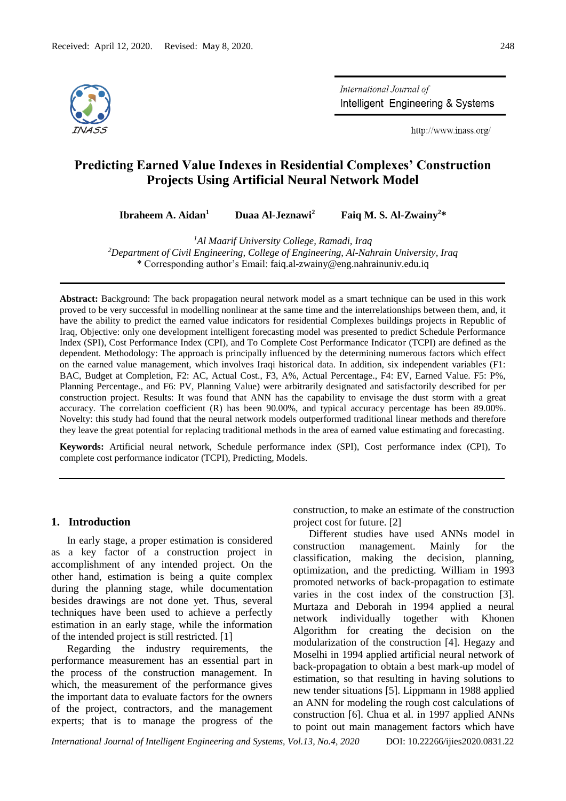

International Journal of Intelligent Engineering & Systems

http://www.inass.org/

# **Predicting Earned Value Indexes in Residential Complexes' Construction Projects Using Artificial Neural Network Model**

**Ibraheem A. Aidan<sup>1</sup>**

 **Duaa Al-Jeznawi<sup>2</sup>**

 **Faiq M. S. Al-Zwainy<sup>2</sup>\***

*<sup>1</sup>Al Maarif University College, Ramadi, Iraq*

*<sup>2</sup>Department of Civil Engineering, College of Engineering, Al-Nahrain University, Iraq* \* Corresponding author's Email: faiq.al-zwainy@eng.nahrainuniv.edu.iq

**Abstract:** Background: The back propagation neural network model as a smart technique can be used in this work proved to be very successful in modelling nonlinear at the same time and the interrelationships between them, and, it have the ability to predict the earned value indicators for residential Complexes buildings projects in Republic of Iraq, Objective: only one development intelligent forecasting model was presented to predict Schedule Performance Index (SPI), Cost Performance Index (CPI), and To Complete Cost Performance Indicator (TCPI) are defined as the dependent. Methodology: The approach is principally influenced by the determining numerous factors which effect on the earned value management, which involves Iraqi historical data. In addition, six independent variables (F1: BAC, Budget at Completion, F2: AC, Actual Cost., F3, A%, Actual Percentage., F4: EV, Earned Value. F5: P%, Planning Percentage., and F6: PV, Planning Value) were arbitrarily designated and satisfactorily described for per construction project. Results: It was found that ANN has the capability to envisage the dust storm with a great accuracy. The correlation coefficient (R) has been 90.00%, and typical accuracy percentage has been 89.00%. Novelty: this study had found that the neural network models outperformed traditional linear methods and therefore they leave the great potential for replacing traditional methods in the area of earned value estimating and forecasting.

**Keywords:** Artificial neural network, Schedule performance index (SPI), Cost performance index (CPI), To complete cost performance indicator (TCPI), Predicting, Models.

#### **1. Introduction**

In early stage, a proper estimation is considered as a key factor of a construction project in accomplishment of any intended project. On the other hand, estimation is being a quite complex during the planning stage, while documentation besides drawings are not done yet. Thus, several techniques have been used to achieve a perfectly estimation in an early stage, while the information of the intended project is still restricted. [1]

Regarding the industry requirements, the performance measurement has an essential part in the process of the construction management. In which, the measurement of the performance gives the important data to evaluate factors for the owners of the project, contractors, and the management experts; that is to manage the progress of the construction, to make an estimate of the construction project cost for future. [2]

Different studies have used ANNs model in construction management. Mainly for the classification, making the decision, planning, optimization, and the predicting. William in 1993 promoted networks of back-propagation to estimate varies in the cost index of the construction [3]. Murtaza and Deborah in 1994 applied a neural network individually together with Khonen Algorithm for creating the decision on the modularization of the construction [4]. Hegazy and Moselhi in 1994 applied artificial neural network of back-propagation to obtain a best mark-up model of estimation, so that resulting in having solutions to new tender situations [5]. Lippmann in 1988 applied an ANN for modeling the rough cost calculations of construction [6]. Chua et al. in 1997 applied ANNs to point out main management factors which have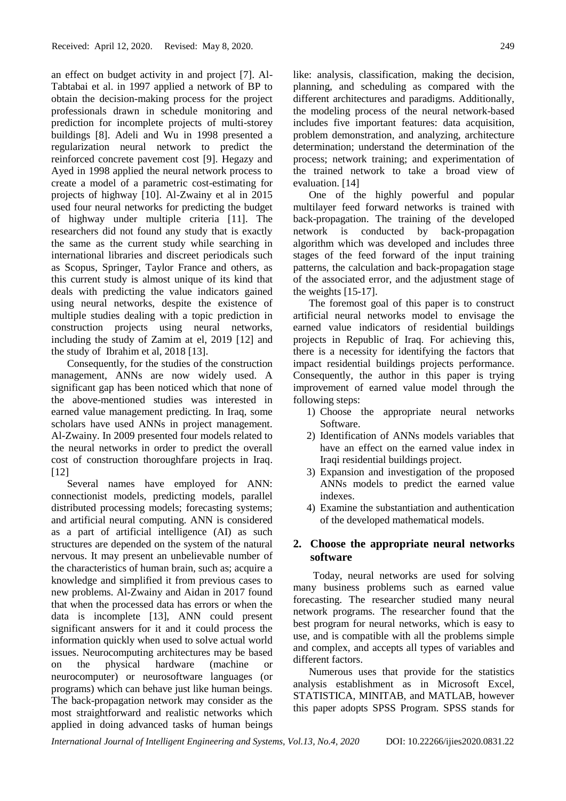an effect on budget activity in and project [7]. Al-Tabtabai et al. in 1997 applied a network of BP to obtain the decision-making process for the project professionals drawn in schedule monitoring and prediction for incomplete projects of multi-storey buildings [8]. Adeli and Wu in 1998 presented a regularization neural network to predict the reinforced concrete pavement cost [9]. Hegazy and Ayed in 1998 applied the neural network process to create a model of a parametric cost-estimating for projects of highway [10]. Al-Zwainy et al in 2015 used four neural networks for predicting the budget of highway under multiple criteria [11]. The researchers did not found any study that is exactly the same as the current study while searching in international libraries and discreet periodicals such as Scopus, Springer, Taylor France and others, as this current study is almost unique of its kind that deals with predicting the value indicators gained using neural networks, despite the existence of multiple studies dealing with a topic prediction in construction projects using neural networks, including the study of Zamim at el, 2019 [12] and the study of Ibrahim et al, 2018 [13].

Consequently, for the studies of the construction management, ANNs are now widely used. A significant gap has been noticed which that none of the above-mentioned studies was interested in earned value management predicting. In Iraq, some scholars have used ANNs in project management. Al-Zwainy. In 2009 presented four models related to the neural networks in order to predict the overall cost of construction thoroughfare projects in Iraq. [12]

Several names have employed for ANN: connectionist models, predicting models, parallel distributed processing models; forecasting systems; and artificial neural computing. ANN is considered as a part of artificial intelligence (AI) as such structures are depended on the system of the natural nervous. It may present an unbelievable number of the characteristics of human brain, such as; acquire a knowledge and simplified it from previous cases to new problems. Al-Zwainy and Aidan in 2017 found that when the processed data has errors or when the data is incomplete [13], ANN could present significant answers for it and it could process the information quickly when used to solve actual world issues. Neurocomputing architectures may be based on the physical hardware (machine or neurocomputer) or neurosoftware languages (or programs) which can behave just like human beings. The back-propagation network may consider as the most straightforward and realistic networks which applied in doing advanced tasks of human beings

like: analysis, classification, making the decision, planning, and scheduling as compared with the different architectures and paradigms. Additionally, the modeling process of the neural network-based includes five important features: data acquisition, problem demonstration, and analyzing, architecture determination; understand the determination of the process; network training; and experimentation of the trained network to take a broad view of evaluation. [14]

One of the highly powerful and popular multilayer feed forward networks is trained with back-propagation. The training of the developed network is conducted by back-propagation algorithm which was developed and includes three stages of the feed forward of the input training patterns, the calculation and back-propagation stage of the associated error, and the adjustment stage of the weights [15-17].

The foremost goal of this paper is to construct artificial neural networks model to envisage the earned value indicators of residential buildings projects in Republic of Iraq. For achieving this, there is a necessity for identifying the factors that impact residential buildings projects performance. Consequently, the author in this paper is trying improvement of earned value model through the following steps:

- 1) Choose the appropriate neural networks Software.
- 2) Identification of ANNs models variables that have an effect on the earned value index in Iraqi residential buildings project.
- 3) Expansion and investigation of the proposed ANNs models to predict the earned value indexes.
- 4) Examine the substantiation and authentication of the developed mathematical models.

# **2. Choose the appropriate neural networks software**

Today, neural networks are used for solving many business problems such as earned value forecasting. The researcher studied many neural network programs. The researcher found that the best program for neural networks, which is easy to use, and is compatible with all the problems simple and complex, and accepts all types of variables and different factors.

Numerous uses that provide for the statistics analysis establishment as in Microsoft Excel, STATISTICA, MINITAB, and MATLAB, however this paper adopts SPSS Program. SPSS stands for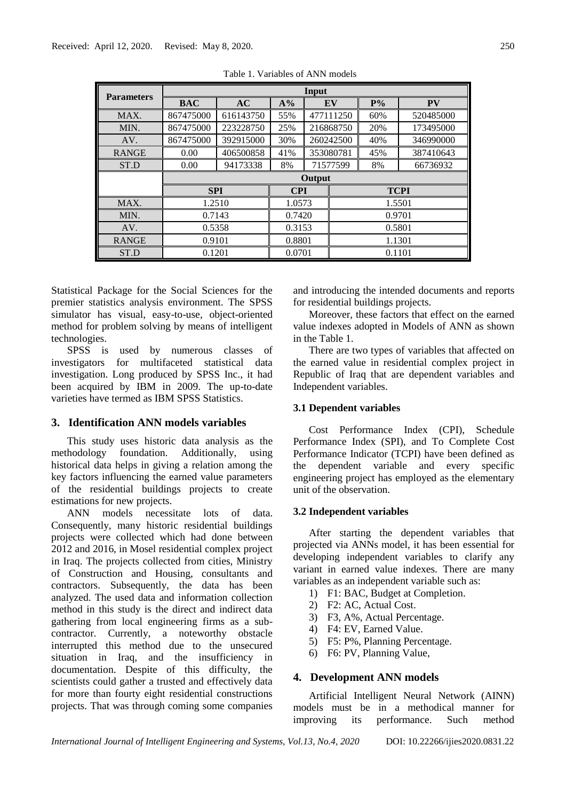| <b>Parameters</b> |            |           |            | Input  |           |             |           |
|-------------------|------------|-----------|------------|--------|-----------|-------------|-----------|
|                   | <b>BAC</b> | <b>AC</b> | $A\%$      |        | EV        | $P\%$       | <b>PV</b> |
| MAX.              | 867475000  | 616143750 | 55%        |        | 477111250 | 60%         | 520485000 |
| MIN.              | 867475000  | 223228750 | 25%        |        | 216868750 | 20%         | 173495000 |
| AV.               | 867475000  | 392915000 | 30%        |        | 260242500 | 40%         | 346990000 |
| <b>RANGE</b>      | 0.00       | 406500858 | 41%        |        | 353080781 | 45%         | 387410643 |
| ST.D              | 0.00       | 94173338  | 8%         |        | 71577599  | 8%          | 66736932  |
|                   |            |           |            | Output |           |             |           |
|                   | <b>SPI</b> |           | <b>CPI</b> |        |           | <b>TCPI</b> |           |
| MAX.              | 1.2510     |           | 1.0573     |        |           | 1.5501      |           |
| MIN.              | 0.7143     |           | 0.7420     |        |           | 0.9701      |           |
| AV.               | 0.5358     |           | 0.3153     |        | 0.5801    |             |           |
| <b>RANGE</b>      | 0.9101     |           | 0.8801     |        | 1.1301    |             |           |
| ST.D              | 0.1201     |           | 0.0701     |        |           | 0.1101      |           |

Table 1. Variables of ANN models

Statistical Package for the Social Sciences for the premier statistics analysis environment. The SPSS simulator has visual, easy-to-use, object-oriented method for problem solving by means of intelligent technologies.

SPSS is used by numerous classes of investigators for multifaceted statistical data investigation. Long produced by SPSS Inc., it had been acquired by IBM in 2009. The up-to-date varieties have termed as IBM SPSS Statistics.

## **3. Identification ANN models variables**

This study uses historic data analysis as the methodology foundation. Additionally, using historical data helps in giving a relation among the key factors influencing the earned value parameters of the residential buildings projects to create estimations for new projects.

ANN models necessitate lots of data. Consequently, many historic residential buildings projects were collected which had done between 2012 and 2016, in Mosel residential complex project in Iraq. The projects collected from cities, Ministry of Construction and Housing, consultants and contractors. Subsequently, the data has been analyzed. The used data and information collection method in this study is the direct and indirect data gathering from local engineering firms as a subcontractor. Currently, a noteworthy obstacle interrupted this method due to the unsecured situation in Iraq, and the insufficiency in documentation. Despite of this difficulty, the scientists could gather a trusted and effectively data for more than fourty eight residential constructions projects. That was through coming some companies and introducing the intended documents and reports for residential buildings projects.

Moreover, these factors that effect on the earned value indexes adopted in Models of ANN as shown in the Table 1.

There are two types of variables that affected on the earned value in residential complex project in Republic of Iraq that are dependent variables and Independent variables.

## **3.1 Dependent variables**

Cost Performance Index (CPI), Schedule Performance Index (SPI), and To Complete Cost Performance Indicator (TCPI) have been defined as the dependent variable and every specific engineering project has employed as the elementary unit of the observation.

#### **3.2 Independent variables**

After starting the dependent variables that projected via ANNs model, it has been essential for developing independent variables to clarify any variant in earned value indexes. There are many variables as an independent variable such as:

- 1) F1: BAC, Budget at Completion.
- 2) F2: AC, Actual Cost.
- 3) F3, A%, Actual Percentage.
- 4) F4: EV, Earned Value.
- 5) F5: P%, Planning Percentage.
- 6) F6: PV, Planning Value,

## **4. Development ANN models**

Artificial Intelligent Neural Network (AINN) models must be in a methodical manner for improving its performance. Such method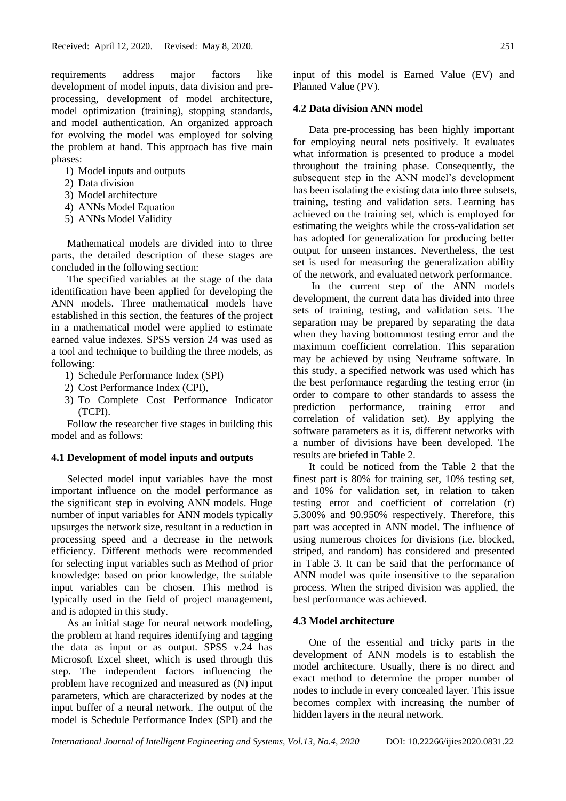requirements address major factors like development of model inputs, data division and preprocessing, development of model architecture, model optimization (training), stopping standards, and model authentication. An organized approach for evolving the model was employed for solving the problem at hand. This approach has five main phases:

- 1) Model inputs and outputs
- 2) Data division
- 3) Model architecture
- 4) ANNs Model Equation
- 5) ANNs Model Validity

Mathematical models are divided into to three parts, the detailed description of these stages are concluded in the following section:

The specified variables at the stage of the data identification have been applied for developing the ANN models. Three mathematical models have established in this section, the features of the project in a mathematical model were applied to estimate earned value indexes. SPSS version 24 was used as a tool and technique to building the three models, as following:

- 1) Schedule Performance Index (SPI)
- 2) Cost Performance Index (CPI),
- 3) To Complete Cost Performance Indicator (TCPI).

Follow the researcher five stages in building this model and as follows:

# **4.1 Development of model inputs and outputs**

Selected model input variables have the most important influence on the model performance as the significant step in evolving ANN models. Huge number of input variables for ANN models typically upsurges the network size, resultant in a reduction in processing speed and a decrease in the network efficiency. Different methods were recommended for selecting input variables such as Method of prior knowledge: based on prior knowledge, the suitable input variables can be chosen. This method is typically used in the field of project management, and is adopted in this study.

As an initial stage for neural network modeling, the problem at hand requires identifying and tagging the data as input or as output. SPSS v.24 has Microsoft Excel sheet, which is used through this step. The independent factors influencing the problem have recognized and measured as (N) input parameters, which are characterized by nodes at the input buffer of a neural network. The output of the model is Schedule Performance Index (SPI) and the

#### **4.2 Data division ANN model**

Data pre-processing has been highly important for employing neural nets positively. It evaluates what information is presented to produce a model throughout the training phase. Consequently, the subsequent step in the ANN model's development has been isolating the existing data into three subsets, training, testing and validation sets. Learning has achieved on the training set, which is employed for estimating the weights while the cross-validation set has adopted for generalization for producing better output for unseen instances. Nevertheless, the test set is used for measuring the generalization ability of the network, and evaluated network performance.

In the current step of the ANN models development, the current data has divided into three sets of training, testing, and validation sets. The separation may be prepared by separating the data when they having bottommost testing error and the maximum coefficient correlation. This separation may be achieved by using Neuframe software. In this study, a specified network was used which has the best performance regarding the testing error (in order to compare to other standards to assess the prediction performance, training error and correlation of validation set). By applying the software parameters as it is, different networks with a number of divisions have been developed. The results are briefed in Table 2.

It could be noticed from the Table 2 that the finest part is 80% for training set, 10% testing set, and 10% for validation set, in relation to taken testing error and coefficient of correlation (r) 5.300% and 90.950% respectively. Therefore, this part was accepted in ANN model. The influence of using numerous choices for divisions (i.e. blocked, striped, and random) has considered and presented in Table 3. It can be said that the performance of ANN model was quite insensitive to the separation process. When the striped division was applied, the best performance was achieved.

#### **4.3 Model architecture**

One of the essential and tricky parts in the development of ANN models is to establish the model architecture. Usually, there is no direct and exact method to determine the proper number of nodes to include in every concealed layer. This issue becomes complex with increasing the number of hidden layers in the neural network.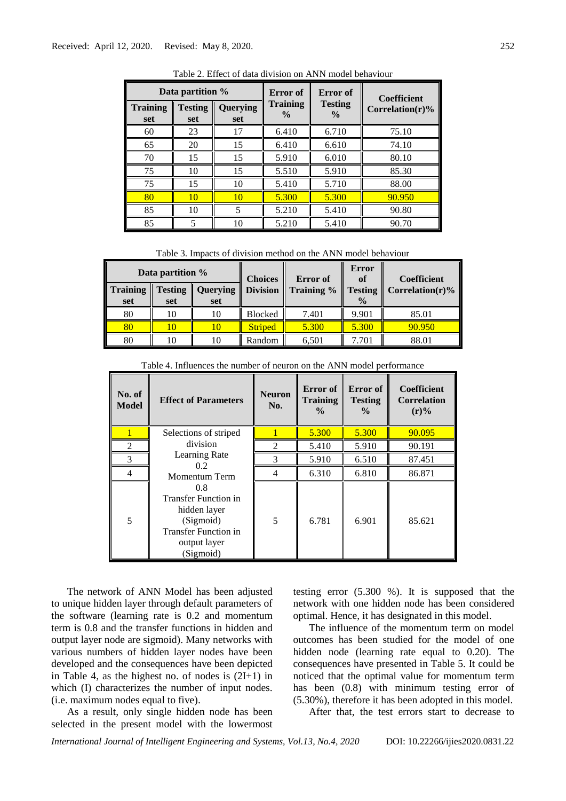|                        | Data partition %      |                        | Error of                         | Error of                        | <b>Coefficient</b>  |  |
|------------------------|-----------------------|------------------------|----------------------------------|---------------------------------|---------------------|--|
| <b>Training</b><br>set | <b>Testing</b><br>set | <b>Querying</b><br>set | <b>Training</b><br>$\frac{0}{0}$ | <b>Testing</b><br>$\frac{0}{0}$ | Correlation $(r)$ % |  |
| 60                     | 23                    | 17                     | 6.410                            | 6.710                           | 75.10               |  |
| 65                     | 20                    | 15                     | 6.410                            | 6.610                           | 74.10               |  |
| 70                     | 15                    | 15                     | 5.910                            | 6.010                           | 80.10               |  |
| 75                     | 10                    | 15                     | 5.510                            | 5.910                           | 85.30               |  |
| 75                     | 15                    | 10                     | 5.410                            | 5.710                           | 88.00               |  |
| 80                     | 10                    | 10                     | 5.300                            | 5.300                           | 90.950              |  |
| 85                     | 10                    | 5                      | 5.210                            | 5.410                           | 90.80               |  |
| 85                     | 5                     | 10                     | 5.210                            | 5.410                           | 90.70               |  |

Table 2. Effect of data division on ANN model behaviour

Table 3. Impacts of division method on the ANN model behaviour

|                        | Data partition % |                                  | <b>Choices</b> | <b>Error</b> of | Error<br>of                     | Coefficient             |
|------------------------|------------------|----------------------------------|----------------|-----------------|---------------------------------|-------------------------|
| <b>Training</b><br>set | set              | <b>Testing   Querying</b><br>set | Division       | Training %      | <b>Testing</b><br>$\frac{0}{0}$ | $\vert$ Correlation(r)% |
| 80                     | 10               |                                  | Blocked        | 7.401           | 9.901                           | 85.01                   |
| 80                     |                  |                                  | <b>Striped</b> | 5.300           | 5.300                           | 90.950                  |
| 80                     |                  |                                  | Random         | 6,501           | 7.701                           | 88.01                   |

Table 4. Influences the number of neuron on the ANN model performance

| No. of<br><b>Model</b> | <b>Effect of Parameters</b>                                                                                                 | <b>Neuron</b><br>No.        | Error of<br><b>Training</b><br>$\frac{6}{9}$ | Error of<br><b>Testing</b><br>$\frac{6}{10}$ | <b>Coefficient</b><br><b>Correlation</b><br>$(r)\%$ |
|------------------------|-----------------------------------------------------------------------------------------------------------------------------|-----------------------------|----------------------------------------------|----------------------------------------------|-----------------------------------------------------|
|                        | Selections of striped                                                                                                       |                             | 5.300                                        | 5.300                                        | 90.095                                              |
| 2                      | division                                                                                                                    | $\mathcal{D}_{\mathcal{L}}$ | 5.410                                        | 5.910                                        | 90.191                                              |
| 3                      | Learning Rate<br>0.2 <sub>1</sub>                                                                                           |                             | 5.910                                        | 6.510                                        | 87.451                                              |
| 4                      | Momentum Term                                                                                                               | 4                           | 6.310                                        | 6.810                                        | 86.871                                              |
| 5                      | 0.8<br><b>Transfer Function in</b><br>hidden layer<br>(Sigmoid)<br><b>Transfer Function in</b><br>output layer<br>(Sigmoid) | 5                           | 6.781                                        | 6.901                                        | 85.621                                              |

The network of ANN Model has been adjusted to unique hidden layer through default parameters of the software (learning rate is 0.2 and momentum term is 0.8 and the transfer functions in hidden and output layer node are sigmoid). Many networks with various numbers of hidden layer nodes have been developed and the consequences have been depicted in Table 4, as the highest no. of nodes is (2I+1) in which (I) characterizes the number of input nodes. (i.e. maximum nodes equal to five).

As a result, only single hidden node has been selected in the present model with the lowermost

testing error (5.300 %). It is supposed that the network with one hidden node has been considered optimal. Hence, it has designated in this model.

The influence of the momentum term on model outcomes has been studied for the model of one hidden node (learning rate equal to 0.20). The consequences have presented in Table 5. It could be noticed that the optimal value for momentum term has been  $(0.8)$  with minimum testing error of (5.30%), therefore it has been adopted in this model.

After that, the test errors start to decrease to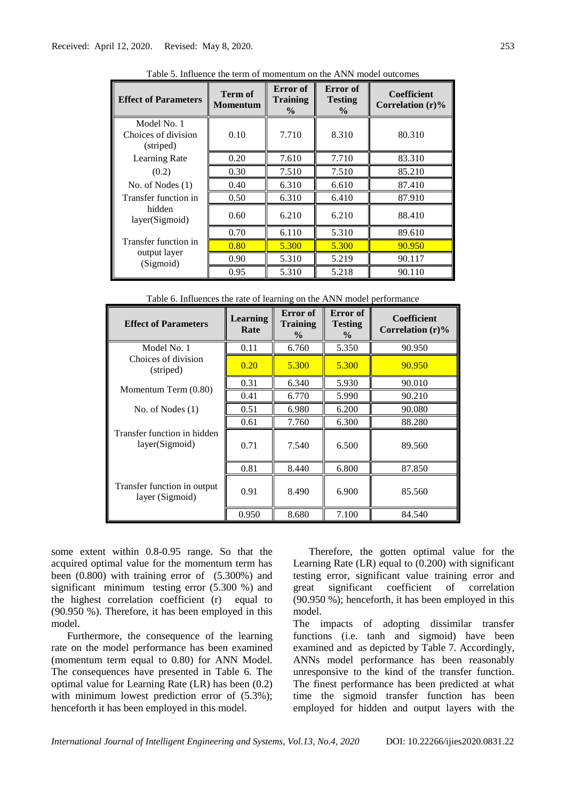| <b>Effect of Parameters</b>                     | <b>Term of</b><br>Momentum | Error of<br><b>Training</b><br>$\%$ | Error of<br><b>Testing</b><br>$\frac{6}{9}$ | <b>Coefficient</b><br>Correlation $(r)\%$ |
|-------------------------------------------------|----------------------------|-------------------------------------|---------------------------------------------|-------------------------------------------|
| Model No. 1<br>Choices of division<br>(striped) | 0.10                       | 7.710                               | 8.310                                       | 80.310                                    |
| Learning Rate                                   | 0.20                       | 7.610                               | 7.710                                       | 83.310                                    |
| (0.2)                                           | 0.30                       | 7.510                               | 7.510                                       | 85.210                                    |
| No. of Nodes $(1)$                              | 0.40                       | 6.310                               | 6.610                                       | 87.410                                    |
| Transfer function in                            | 0.50                       | 6.310                               | 6.410                                       | 87.910                                    |
| hidden<br>layer(Sigmoid)                        | 0.60                       | 6.210                               | 6.210                                       | 88.410                                    |
|                                                 | 0.70                       | 6.110                               | 5.310                                       | 89.610                                    |
| Transfer function in                            | 0.80                       | 5.300                               | 5.300                                       | 90.950                                    |
| output layer<br>(Sigmoid)                       | 0.90                       | 5.310                               | 5.219                                       | 90.117                                    |
|                                                 | 0.95                       | 5.310                               | 5.218                                       | 90.110                                    |

Table 5. Influence the term of momentum on the ANN model outcomes

Table 6. Influences the rate of learning on the ANN model performance

| <b>Effect of Parameters</b>                    | <b>Learning</b><br>Rate | Error of<br>Training<br>$\frac{0}{0}$ | Error of<br><b>Testing</b><br>$\frac{6}{9}$ | <b>Coefficient</b><br>Correlation $(r)\%$ |
|------------------------------------------------|-------------------------|---------------------------------------|---------------------------------------------|-------------------------------------------|
| Model No. 1                                    | 0.11                    | 6.760                                 | 5.350                                       | 90.950                                    |
| Choices of division<br>(striped)               | 0.20                    | 5.300                                 | 5.300                                       | 90.950                                    |
|                                                | 0.31                    | 6.340                                 | 5.930                                       | 90.010                                    |
| Momentum Term (0.80)                           | 0.41                    | 6.770                                 | 5.990                                       | 90.210                                    |
| No. of Nodes $(1)$                             | 0.51                    | 6.980                                 | 6.200                                       | 90.080                                    |
|                                                | 0.61                    | 7.760                                 | 6.300                                       | 88.280                                    |
| Transfer function in hidden<br>layer(Sigmoid)  | 0.71                    | 7.540                                 | 6.500                                       | 89.560                                    |
|                                                | 0.81                    | 8.440                                 | 6.800                                       | 87.850                                    |
| Transfer function in output<br>layer (Sigmoid) | 0.91                    | 8.490                                 | 6.900                                       | 85.560                                    |
|                                                | 0.950                   | 8.680                                 | 7.100                                       | 84.540                                    |

some extent within 0.8-0.95 range. So that the acquired optimal value for the momentum term has been (0.800) with training error of (5.300%) and significant minimum testing error (5.300 %) and the highest correlation coefficient (r) equal to (90.950 %). Therefore, it has been employed in this model.

Furthermore, the consequence of the learning rate on the model performance has been examined (momentum term equal to 0.80) for ANN Model. The consequences have presented in Table 6. The optimal value for Learning Rate (LR) has been (0.2) with minimum lowest prediction error of  $(5.3\%)$ ; henceforth it has been employed in this model.

Therefore, the gotten optimal value for the Learning Rate (LR) equal to (0.200) with significant testing error, significant value training error and great significant coefficient of correlation (90.950 %); henceforth, it has been employed in this model.

The impacts of adopting dissimilar transfer functions (i.e. tanh and sigmoid) have been examined and as depicted by Table 7. Accordingly, ANNs model performance has been reasonably unresponsive to the kind of the transfer function. The finest performance has been predicted at what time the sigmoid transfer function has been employed for hidden and output layers with the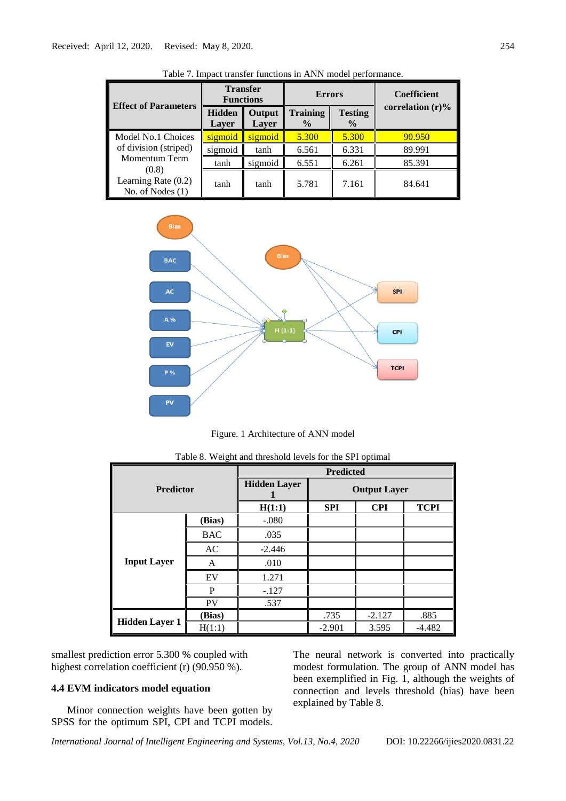|                                                      | <b>Functions</b>       | <b>Transfer</b> | <b>Errors</b>             |                                 | <b>Coefficient</b>  |  |
|------------------------------------------------------|------------------------|-----------------|---------------------------|---------------------------------|---------------------|--|
| <b>Effect of Parameters</b>                          | <b>Hidden</b><br>Laver | Output<br>Laver | Training<br>$\frac{0}{0}$ | <b>Testing</b><br>$\frac{0}{0}$ | correlation $(r)\%$ |  |
| Model No.1 Choices                                   | sigmoid                | sigmoid         | 5.300                     | 5.300                           | 90.950              |  |
| of division (striped)                                | sigmoid                | tanh            | 6.561                     | 6.331                           | 89.991              |  |
| Momentum Term                                        | tanh                   | sigmoid         | 6.551                     | 6.261                           | 85.391              |  |
| (0.8)<br>Learning Rate $(0.2)$<br>No. of Nodes $(1)$ | tanh                   | tanh            | 5.781                     | 7.161                           | 84.641              |  |





Figure. 1 Architecture of ANN model

|                       |            |                     | <b>Predicted</b> |                     |             |
|-----------------------|------------|---------------------|------------------|---------------------|-------------|
| <b>Predictor</b>      |            | <b>Hidden Layer</b> |                  | <b>Output Layer</b> |             |
|                       |            | H(1:1)              | <b>SPI</b>       | <b>CPI</b>          | <b>TCPI</b> |
|                       | (Bias)     | $-.080$             |                  |                     |             |
|                       | <b>BAC</b> | .035                |                  |                     |             |
|                       | AC         | $-2.446$            |                  |                     |             |
| <b>Input Layer</b>    | A          | .010                |                  |                     |             |
|                       | EV         | 1.271               |                  |                     |             |
|                       | P          | $-.127$             |                  |                     |             |
|                       | <b>PV</b>  | .537                |                  |                     |             |
| <b>Hidden Layer 1</b> | (Bias)     |                     | .735             | $-2.127$            | .885        |
|                       | H(1:1)     |                     | $-2.901$         | 3.595               | $-4.482$    |

| Table 8. Weight and threshold levels for the SPI optimal |  |  |  |
|----------------------------------------------------------|--|--|--|
|                                                          |  |  |  |

smallest prediction error 5.300 % coupled with highest correlation coefficient (r) (90.950 %).

## **4.4 EVM indicators model equation**

Minor connection weights have been gotten by SPSS for the optimum SPI, CPI and TCPI models. The neural network is converted into practically modest formulation. The group of ANN model has been exemplified in Fig. 1, although the weights of connection and levels threshold (bias) have been explained by Table 8.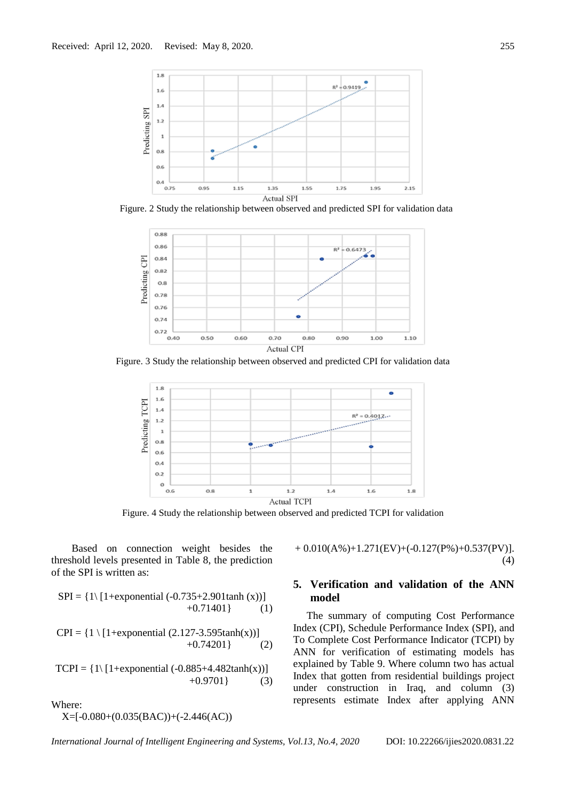

Figure. 2 Study the relationship between observed and predicted SPI for validation data



Figure. 3 Study the relationship between observed and predicted CPI for validation data



Figure. 4 Study the relationship between observed and predicted TCPI for validation

Based on connection weight besides the threshold levels presented in Table 8, the prediction of the SPI is written as:

$$
SPI = \{ 1 \setminus [1+\text{exponential }(-0.735+2.901\tanh(x))]
$$
  
+0.71401 \} (1)

 $CPI = \{1 \setminus [1 + exponential (2.127 - 3.595tanh(x))]\}$  $+0.74201$ } (2)

TCPI =  $\{1\}$ [1+exponential (-0.885+4.482tanh(x))]  $+0.9701$ } (3)

Where:

X=[-0.080+(0.035(BAC))+(-2.446(AC))

 $+ 0.010(A\%) + 1.271(EV) + (-0.127(P\%) + 0.537(PV)$ . (4)

# **5. Verification and validation of the ANN model**

The summary of computing Cost Performance Index (CPI), Schedule Performance Index (SPI), and To Complete Cost Performance Indicator (TCPI) by ANN for verification of estimating models has explained by Table 9. Where column two has actual Index that gotten from residential buildings project under construction in Iraq, and column (3) represents estimate Index after applying ANN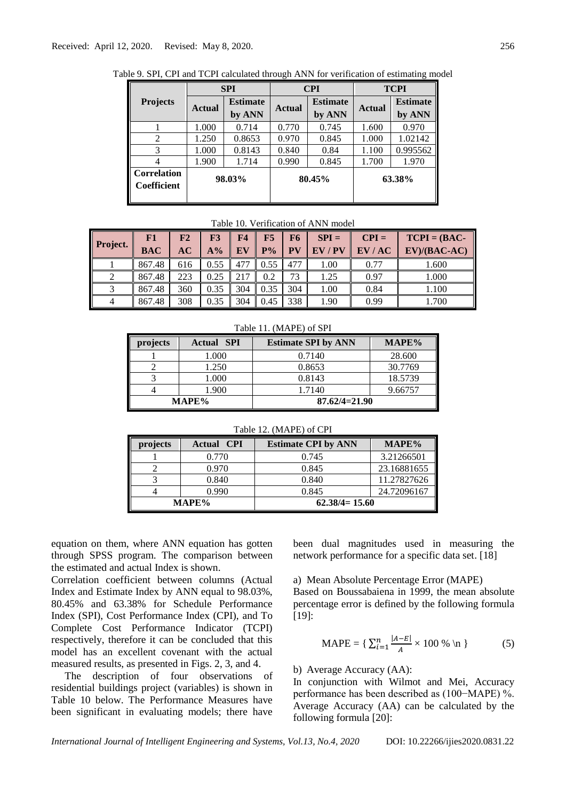|                                   |               | <b>SPI</b>                |               | <b>CPI</b>                | <b>TCPI</b> |                           |
|-----------------------------------|---------------|---------------------------|---------------|---------------------------|-------------|---------------------------|
| <b>Projects</b>                   | <b>Actual</b> | <b>Estimate</b><br>by ANN | <b>Actual</b> | <b>Estimate</b><br>by ANN | Actual      | <b>Estimate</b><br>by ANN |
|                                   | 1.000         | 0.714                     | 0.770         | 0.745                     | 1.600       | 0.970                     |
| $\mathfrak{D}$                    | 1.250         | 0.8653                    | 0.970         | 0.845                     | 1.000       | 1.02142                   |
| 3                                 | 1.000         | 0.8143                    | 0.840         | 0.84                      | 1.100       | 0.995562                  |
|                                   | 1.900         | 1.714                     | 0.990         | 0.845                     | 1.700       | 1.970                     |
| <b>Correlation</b><br>Coefficient | 98.03%        |                           | 80.45%        |                           |             | 63.38%                    |

Table 9. SPI, CPI and TCPI calculated through ANN for verification of estimating model

Table 10. Verification of ANN model

| <b>Project.</b> | F1<br><b>BAC</b> | F2<br>AC | F3<br>$A\%$ | F <sub>4</sub><br>EV | F5<br>$P\%$ | F6<br>PV | $SPI =$<br>$EV$ / $PV$ | $CPI =$<br>EV/AC | $TCPI = (BAC -$<br>$EV)/(BAC-AC)$ |
|-----------------|------------------|----------|-------------|----------------------|-------------|----------|------------------------|------------------|-----------------------------------|
|                 | 867.48           | 616      | 0.55        | 477                  | 0.55        | 477      | 1.00                   | 0.77             | 1.600                             |
|                 | 867.48           | 223      | 0.25        | 217                  | 0.2         | 73       | 1.25                   | 0.97             | 1.000                             |
|                 | 867.48           | 360      | 0.35        | 304                  | 0.35        | 304      | 1.00                   | 0.84             | 1.100                             |
|                 | 867.48           | 308      | 0.35        | 304                  | 0.45        | 338      | 1.90                   | 0.99             | 1.700                             |

Table 11. (MAPE) of SPI

| projects | <b>Actual SPI</b> | <b>Estimate SPI by ANN</b> | MAPE%   |
|----------|-------------------|----------------------------|---------|
|          | 1.000             | 0.7140                     | 28.600  |
|          | 1.250             | 0.8653                     | 30.7769 |
|          | 1.000             | 0.8143                     | 18.5739 |
|          | 1.900             | 1.7140                     | 9.66757 |
|          | MAPE%             | $87.62/4=21.90$            |         |

Table 12. (MAPE) of CPI

| projects | <b>Actual CPI</b> | <b>Estimate CPI by ANN</b> | MAPE%       |
|----------|-------------------|----------------------------|-------------|
|          | 0.770             | 0.745                      | 3.21266501  |
|          | 0.970             | 0.845                      | 23.16881655 |
|          | 0.840             | 0.840                      | 11.27827626 |
|          | 0.990             | 0.845                      | 24.72096167 |
| MAPE%    |                   | $62.38/4=15.60$            |             |

equation on them, where ANN equation has gotten through SPSS program. The comparison between the estimated and actual Index is shown.

Correlation coefficient between columns (Actual Index and Estimate Index by ANN equal to 98.03%, 80.45% and 63.38% for Schedule Performance Index (SPI), Cost Performance Index (CPI), and To Complete Cost Performance Indicator (TCPI) respectively, therefore it can be concluded that this model has an excellent covenant with the actual measured results, as presented in Figs. 2, 3, and 4.

The description of four observations of residential buildings project (variables) is shown in Table 10 below. The Performance Measures have been significant in evaluating models; there have

been dual magnitudes used in measuring the network performance for a specific data set. [18]

a) Mean Absolute Percentage Error (MAPE)

Based on Boussabaiena in 1999, the mean absolute percentage error is defined by the following formula [19]:

$$
MAPE = \{ \sum_{i=1}^{n} \frac{|A - E|}{A} \times 100\% \text{ in } \}
$$
 (5)

### b) Average Accuracy (AA):

In conjunction with Wilmot and Mei, Accuracy performance has been described as (100−MAPE) %. Average Accuracy (AA) can be calculated by the following formula [20]: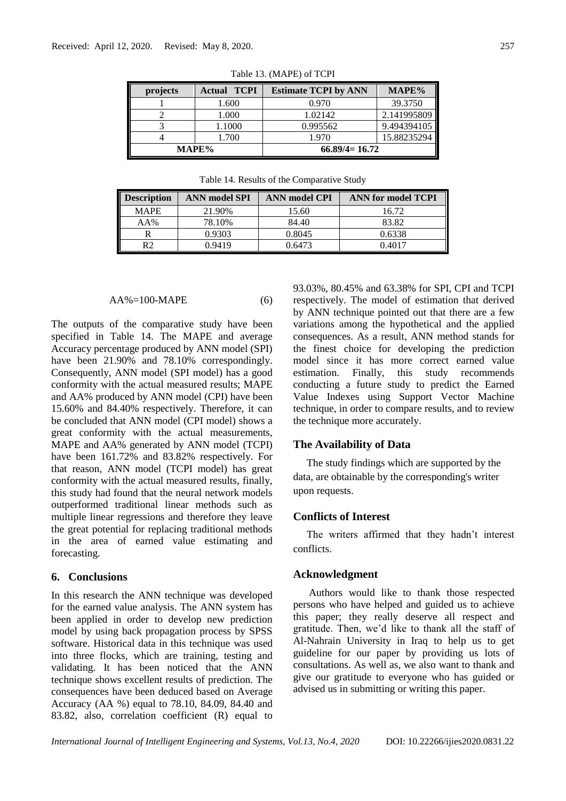| projects | <b>Actual TCPI</b> | <b>Estimate TCPI by ANN</b> | MAPE%       |
|----------|--------------------|-----------------------------|-------------|
|          | 1.600              | 0.970                       | 39.3750     |
|          | 1.000              | 1.02142                     | 2.141995809 |
|          | 1.1000             | 0.995562                    | 9.494394105 |
|          | 1.700              | 1.970                       | 15.88235294 |
| MAPE%    |                    | $66.89/4=16.72$             |             |

Table 13. (MAPE) of TCPI

| MAPE% |        | $66.89/4=16.72$ |            |  |
|-------|--------|-----------------|------------|--|
|       | 1.700  | 1.970           | 15.8823529 |  |
|       | 1.1000 | 0.995562        | 9.49439410 |  |

Table 14. Results of the Comparative Study

| <b>Description</b> | <b>ANN</b> model SPI | <b>ANN</b> model CPI | ANN for model TCPI |
|--------------------|----------------------|----------------------|--------------------|
| <b>MAPE</b>        | 21.90%               | 15.60                | 16.72              |
| AA%                | 78.10%               | 84.40                | 83.82              |
|                    | 0.9303               | 0.8045               | 0.6338             |
|                    | 0.9419               | ).6473               | 0.4017             |

$$
AA\% = 100-MAPE
$$
 (6)

The outputs of the comparative study have been specified in Table 14. The MAPE and average Accuracy percentage produced by ANN model (SPI) have been 21.90% and 78.10% correspondingly. Consequently, ANN model (SPI model) has a good conformity with the actual measured results; MAPE and AA% produced by ANN model (CPI) have been 15.60% and 84.40% respectively. Therefore, it can be concluded that ANN model (CPI model) shows a great conformity with the actual measurements, MAPE and AA% generated by ANN model (TCPI) have been 161.72% and 83.82% respectively. For that reason, ANN model (TCPI model) has great conformity with the actual measured results, finally, this study had found that the neural network models outperformed traditional linear methods such as multiple linear regressions and therefore they leave the great potential for replacing traditional methods in the area of earned value estimating and forecasting.

# **6. Conclusions**

In this research the ANN technique was developed for the earned value analysis. The ANN system has been applied in order to develop new prediction model by using back propagation process by SPSS software. Historical data in this technique was used into three flocks, which are training, testing and validating. It has been noticed that the ANN technique shows excellent results of prediction. The consequences have been deduced based on Average Accuracy (AA %) equal to 78.10, 84.09, 84.40 and 83.82, also, correlation coefficient (R) equal to 93.03%, 80.45% and 63.38% for SPI, CPI and TCPI respectively. The model of estimation that derived by ANN technique pointed out that there are a few variations among the hypothetical and the applied consequences. As a result, ANN method stands for the finest choice for developing the prediction model since it has more correct earned value estimation. Finally, this study recommends conducting a future study to predict the Earned Value Indexes using Support Vector Machine technique, in order to compare results, and to review the technique more accurately.

#### **The Availability of Data**

The study findings which are supported by the data, are obtainable by the corresponding's writer upon requests.

## **Conflicts of Interest**

The writers affirmed that they hadn't interest conflicts.

#### **Acknowledgment**

Authors would like to thank those respected persons who have helped and guided us to achieve this paper; they really deserve all respect and gratitude. Then, we'd like to thank all the staff of Al-Nahrain University in Iraq to help us to get guideline for our paper by providing us lots of consultations. As well as, we also want to thank and give our gratitude to everyone who has guided or advised us in submitting or writing this paper.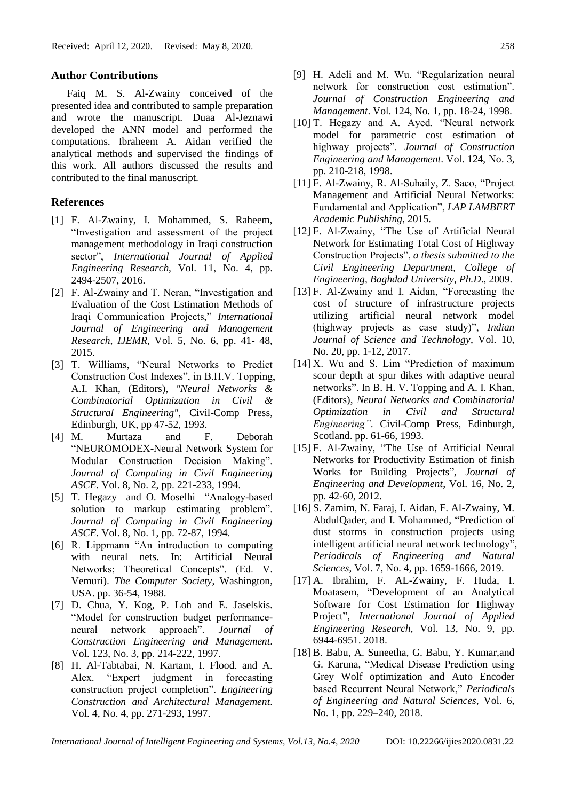### **Author Contributions**

Faiq M. S. Al-Zwainy conceived of the presented idea and contributed to sample preparation and wrote the manuscript. Duaa Al-Jeznawi developed the ANN model and performed the computations. Ibraheem A. Aidan verified the analytical methods and supervised the findings of this work. All authors discussed the results and contributed to the final manuscript.

# **References**

- [1] F. Al-Zwainy, I. Mohammed, S. Raheem, "Investigation and assessment of the project management methodology in Iraqi construction sector", *International Journal of Applied Engineering Research*, Vol. 11, No. 4, pp. 2494-2507, 2016.
- [2] F. Al-Zwainy and T. Neran, "Investigation and Evaluation of the Cost Estimation Methods of Iraqi Communication Projects," *International Journal of Engineering and Management Research, IJEMR*, Vol. 5, No. 6, pp. 41- 48, 2015.
- [3] T. Williams, "Neural Networks to Predict Construction Cost Indexes", in B.H.V. Topping, A.I. Khan, (Editors), *"Neural Networks & Combinatorial Optimization in Civil & Structural Engineering"*, Civil-Comp Press, Edinburgh, UK, pp 47-52, 1993.
- [4] M. Murtaza and F. Deborah "NEUROMODEX-Neural Network System for Modular Construction Decision Making". *Journal of Computing in Civil Engineering ASCE*. Vol. 8, No. 2, pp. 221-233, 1994.
- [5] T. Hegazy and O. Moselhi "Analogy-based solution to markup estimating problem". *Journal of Computing in Civil Engineering ASCE*. Vol. 8, No. 1, pp. 72-87, 1994.
- [6] R. Lippmann "An introduction to computing with neural nets. In: Artificial Neural Networks; Theoretical Concepts". (Ed. V. Vemuri). *The Computer Society*, Washington, USA. pp. 36-54, 1988.
- [7] D. Chua, Y. Kog, P. Loh and E. Jaselskis. "Model for construction budget performanceneural network approach". *Journal of Construction Engineering and Management*. Vol. 123, No. 3, pp. 214-222, 1997.
- [8] H. Al-Tabtabai, N. Kartam, I. Flood. and A. Alex. "Expert judgment in forecasting construction project completion". *Engineering Construction and Architectural Management*. Vol. 4, No. 4, pp. 271-293, 1997.
- [9] H. Adeli and M. Wu. "Regularization neural network for construction cost estimation". *Journal of Construction Engineering and Management*. Vol. 124, No. 1, pp. 18-24, 1998.
- [10] T. Hegazy and A. Ayed. "Neural network model for parametric cost estimation of highway projects". *Journal of Construction Engineering and Management*. Vol. 124, No. 3, pp. 210-218, 1998.
- [11] F. Al-Zwainy, R. Al-Suhaily, Z. Saco, "Project Management and Artificial Neural Networks: Fundamental and Application", *LAP LAMBERT Academic Publishing*, 2015.
- [12] F. Al-Zwainy, "The Use of Artificial Neural Network for Estimating Total Cost of Highway Construction Projects", *a thesis submitted to the Civil Engineering Department, College of Engineering, Baghdad University, Ph.D*., 2009.
- [13] F. Al-Zwainy and I. Aidan, "Forecasting the cost of structure of infrastructure projects utilizing artificial neural network model (highway projects as case study)", *Indian Journal of Science and Technology*, Vol. 10, No. 20, pp. 1-12, 2017.
- [14] X. Wu and S. Lim "Prediction of maximum scour depth at spur dikes with adaptive neural networks". In B. H. V. Topping and A. I. Khan, (Editors), *Neural Networks and Combinatorial Optimization in Civil and Structural Engineering"*. Civil-Comp Press, Edinburgh, Scotland. pp. 61-66, 1993.
- [15] F. Al-Zwainy, "The Use of Artificial Neural Networks for Productivity Estimation of finish Works for Building Projects", *Journal of Engineering and Development*, Vol. 16, No. 2, pp. 42-60, 2012.
- [16] S. Zamim, N. Faraj, I. Aidan, F. Al-Zwainy, M. AbdulQader, and I. Mohammed, "Prediction of dust storms in construction projects using intelligent artificial neural network technology", *Periodicals of Engineering and Natural Sciences*, Vol. 7, No. 4, pp. 1659-1666, 2019.
- [17] A. Ibrahim, F. AL-Zwainy, F. Huda, I. Moatasem, "Development of an Analytical Software for Cost Estimation for Highway Project", *International Journal of Applied Engineering Research*, Vol. 13, No. 9, pp. 6944-6951. 2018.
- [18] B. Babu, A. Suneetha, G. Babu, Y. Kumar,and G. Karuna, "Medical Disease Prediction using Grey Wolf optimization and Auto Encoder based Recurrent Neural Network," *Periodicals of Engineering and Natural Sciences*, Vol. 6, No. 1, pp. 229–240, 2018.